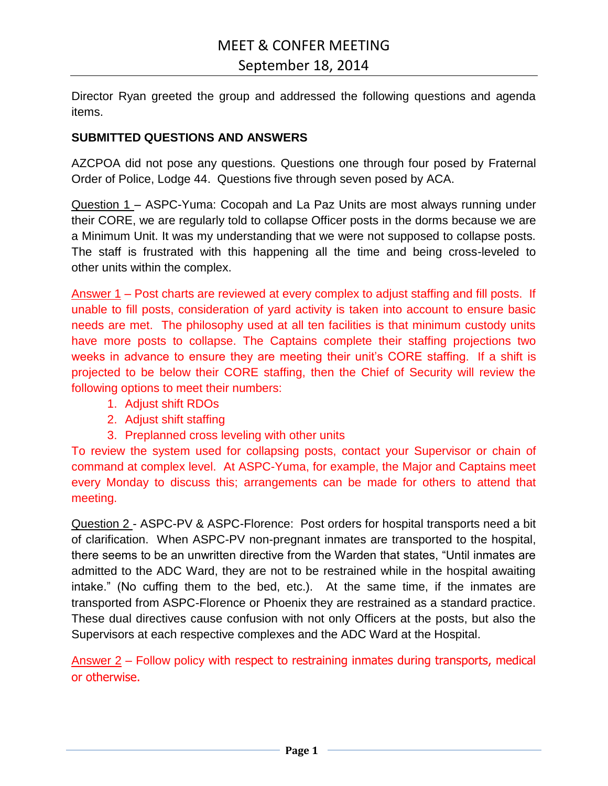Director Ryan greeted the group and addressed the following questions and agenda items.

### **SUBMITTED QUESTIONS AND ANSWERS**

AZCPOA did not pose any questions. Questions one through four posed by Fraternal Order of Police, Lodge 44. Questions five through seven posed by ACA.

Question 1 – ASPC-Yuma: Cocopah and La Paz Units are most always running under their CORE, we are regularly told to collapse Officer posts in the dorms because we are a Minimum Unit. It was my understanding that we were not supposed to collapse posts. The staff is frustrated with this happening all the time and being cross-leveled to other units within the complex.

Answer 1 – Post charts are reviewed at every complex to adjust staffing and fill posts. If unable to fill posts, consideration of yard activity is taken into account to ensure basic needs are met. The philosophy used at all ten facilities is that minimum custody units have more posts to collapse. The Captains complete their staffing projections two weeks in advance to ensure they are meeting their unit's CORE staffing. If a shift is projected to be below their CORE staffing, then the Chief of Security will review the following options to meet their numbers:

- 1. Adjust shift RDOs
- 2. Adjust shift staffing
- 3. Preplanned cross leveling with other units

To review the system used for collapsing posts, contact your Supervisor or chain of command at complex level. At ASPC-Yuma, for example, the Major and Captains meet every Monday to discuss this; arrangements can be made for others to attend that meeting.

Question 2 - ASPC-PV & ASPC-Florence: Post orders for hospital transports need a bit of clarification. When ASPC-PV non-pregnant inmates are transported to the hospital, there seems to be an unwritten directive from the Warden that states, "Until inmates are admitted to the ADC Ward, they are not to be restrained while in the hospital awaiting intake." (No cuffing them to the bed, etc.). At the same time, if the inmates are transported from ASPC-Florence or Phoenix they are restrained as a standard practice. These dual directives cause confusion with not only Officers at the posts, but also the Supervisors at each respective complexes and the ADC Ward at the Hospital.

Answer 2 – Follow policy with respect to restraining inmates during transports, medical or otherwise.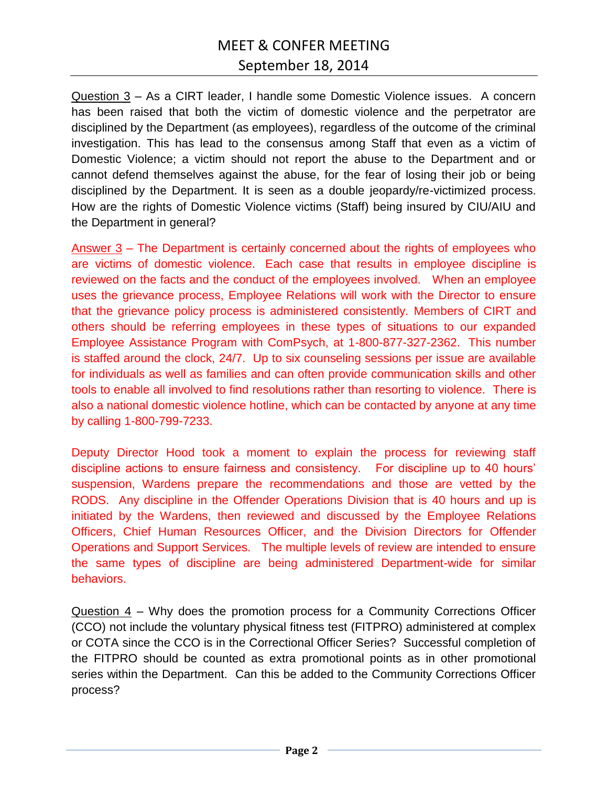## MEET & CONFER MEETING September 18, 2014

Question 3 – As a CIRT leader, I handle some Domestic Violence issues. A concern has been raised that both the victim of domestic violence and the perpetrator are disciplined by the Department (as employees), regardless of the outcome of the criminal investigation. This has lead to the consensus among Staff that even as a victim of Domestic Violence; a victim should not report the abuse to the Department and or cannot defend themselves against the abuse, for the fear of losing their job or being disciplined by the Department. It is seen as a double jeopardy/re-victimized process. How are the rights of Domestic Violence victims (Staff) being insured by CIU/AIU and the Department in general?

Answer 3 – The Department is certainly concerned about the rights of employees who are victims of domestic violence. Each case that results in employee discipline is reviewed on the facts and the conduct of the employees involved. When an employee uses the grievance process, Employee Relations will work with the Director to ensure that the grievance policy process is administered consistently. Members of CIRT and others should be referring employees in these types of situations to our expanded Employee Assistance Program with ComPsych, at 1-800-877-327-2362. This number is staffed around the clock, 24/7. Up to six counseling sessions per issue are available for individuals as well as families and can often provide communication skills and other tools to enable all involved to find resolutions rather than resorting to violence. There is also a national domestic violence hotline, which can be contacted by anyone at any time by calling 1-800-799-7233.

Deputy Director Hood took a moment to explain the process for reviewing staff discipline actions to ensure fairness and consistency. For discipline up to 40 hours' suspension, Wardens prepare the recommendations and those are vetted by the RODS. Any discipline in the Offender Operations Division that is 40 hours and up is initiated by the Wardens, then reviewed and discussed by the Employee Relations Officers, Chief Human Resources Officer, and the Division Directors for Offender Operations and Support Services. The multiple levels of review are intended to ensure the same types of discipline are being administered Department-wide for similar behaviors.

Question 4 – Why does the promotion process for a Community Corrections Officer (CCO) not include the voluntary physical fitness test (FITPRO) administered at complex or COTA since the CCO is in the Correctional Officer Series? Successful completion of the FITPRO should be counted as extra promotional points as in other promotional series within the Department. Can this be added to the Community Corrections Officer process?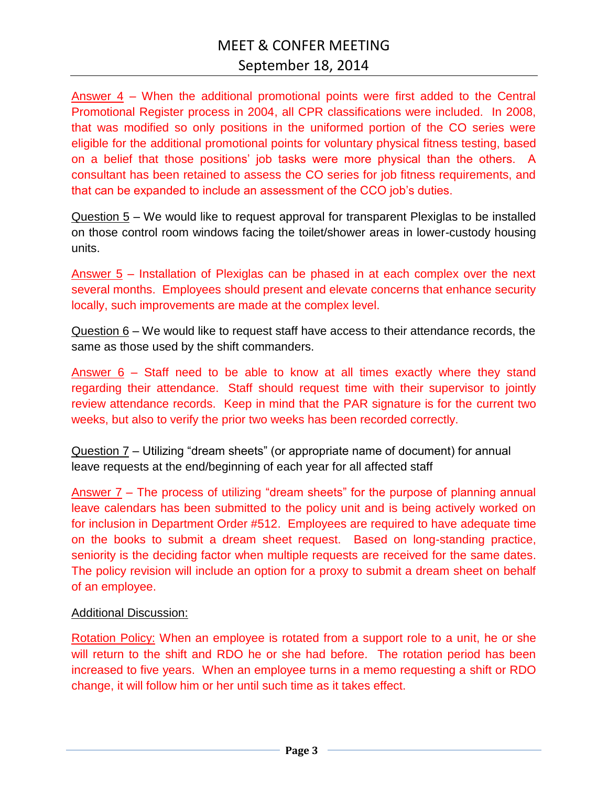Answer 4 – When the additional promotional points were first added to the Central Promotional Register process in 2004, all CPR classifications were included. In 2008, that was modified so only positions in the uniformed portion of the CO series were eligible for the additional promotional points for voluntary physical fitness testing, based on a belief that those positions' job tasks were more physical than the others. A consultant has been retained to assess the CO series for job fitness requirements, and that can be expanded to include an assessment of the CCO job's duties.

Question 5 – We would like to request approval for transparent Plexiglas to be installed on those control room windows facing the toilet/shower areas in lower-custody housing units.

Answer 5 – Installation of Plexiglas can be phased in at each complex over the next several months. Employees should present and elevate concerns that enhance security locally, such improvements are made at the complex level.

 $Question 6$  – We would like to request staff have access to their attendance records, the same as those used by the shift commanders.

Answer 6 – Staff need to be able to know at all times exactly where they stand regarding their attendance. Staff should request time with their supervisor to jointly review attendance records. Keep in mind that the PAR signature is for the current two weeks, but also to verify the prior two weeks has been recorded correctly.

Question 7 – Utilizing "dream sheets" (or appropriate name of document) for annual leave requests at the end/beginning of each year for all affected staff

Answer 7 – The process of utilizing "dream sheets" for the purpose of planning annual leave calendars has been submitted to the policy unit and is being actively worked on for inclusion in Department Order #512. Employees are required to have adequate time on the books to submit a dream sheet request. Based on long-standing practice, seniority is the deciding factor when multiple requests are received for the same dates. The policy revision will include an option for a proxy to submit a dream sheet on behalf of an employee.

### Additional Discussion:

Rotation Policy: When an employee is rotated from a support role to a unit, he or she will return to the shift and RDO he or she had before. The rotation period has been increased to five years. When an employee turns in a memo requesting a shift or RDO change, it will follow him or her until such time as it takes effect.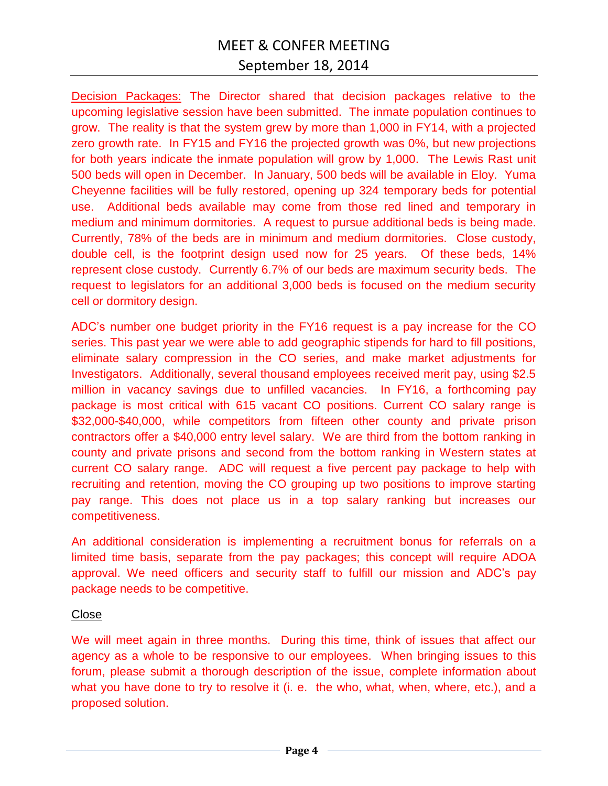### MEET & CONFER MEETING September 18, 2014

Decision Packages: The Director shared that decision packages relative to the upcoming legislative session have been submitted. The inmate population continues to grow. The reality is that the system grew by more than 1,000 in FY14, with a projected zero growth rate. In FY15 and FY16 the projected growth was 0%, but new projections for both years indicate the inmate population will grow by 1,000. The Lewis Rast unit 500 beds will open in December. In January, 500 beds will be available in Eloy. Yuma Cheyenne facilities will be fully restored, opening up 324 temporary beds for potential use. Additional beds available may come from those red lined and temporary in medium and minimum dormitories. A request to pursue additional beds is being made. Currently, 78% of the beds are in minimum and medium dormitories. Close custody, double cell, is the footprint design used now for 25 years. Of these beds, 14% represent close custody. Currently 6.7% of our beds are maximum security beds. The request to legislators for an additional 3,000 beds is focused on the medium security cell or dormitory design.

ADC's number one budget priority in the FY16 request is a pay increase for the CO series. This past year we were able to add geographic stipends for hard to fill positions, eliminate salary compression in the CO series, and make market adjustments for Investigators. Additionally, several thousand employees received merit pay, using \$2.5 million in vacancy savings due to unfilled vacancies. In FY16, a forthcoming pay package is most critical with 615 vacant CO positions. Current CO salary range is \$32,000-\$40,000, while competitors from fifteen other county and private prison contractors offer a \$40,000 entry level salary. We are third from the bottom ranking in county and private prisons and second from the bottom ranking in Western states at current CO salary range. ADC will request a five percent pay package to help with recruiting and retention, moving the CO grouping up two positions to improve starting pay range. This does not place us in a top salary ranking but increases our competitiveness.

An additional consideration is implementing a recruitment bonus for referrals on a limited time basis, separate from the pay packages; this concept will require ADOA approval. We need officers and security staff to fulfill our mission and ADC's pay package needs to be competitive.

### Close

We will meet again in three months. During this time, think of issues that affect our agency as a whole to be responsive to our employees. When bringing issues to this forum, please submit a thorough description of the issue, complete information about what you have done to try to resolve it (i. e. the who, what, when, where, etc.), and a proposed solution.